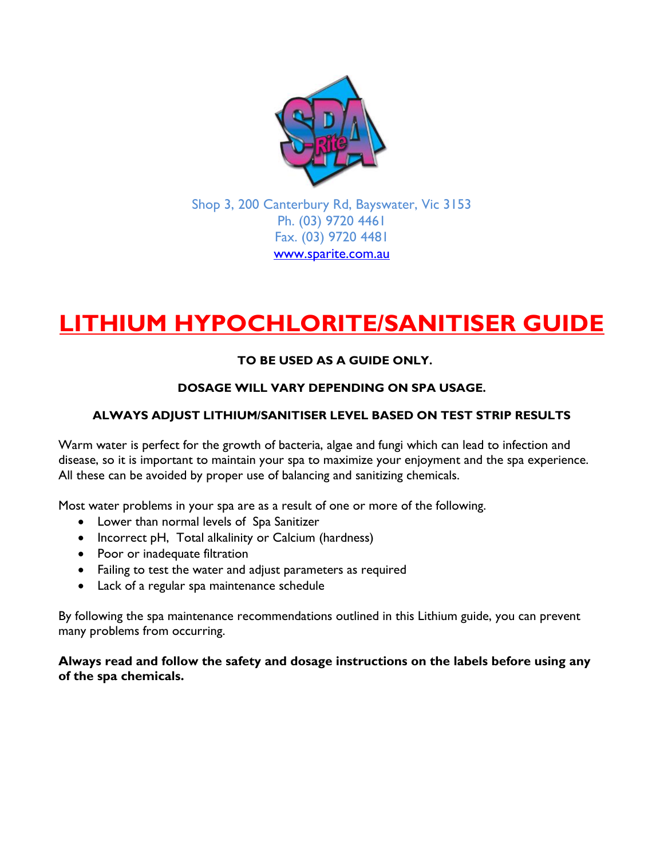

Shop 3, 200 Canterbury Rd, Bayswater, Vic 3153 Ph. (03) 9720 4461 Fax. (03) 9720 4481 [www.sparite.com.au](http://www.sparite.com.au/)

# **LITHIUM HYPOCHLORITE/SANITISER GUIDE**

# **TO BE USED AS A GUIDE ONLY.**

## **DOSAGE WILL VARY DEPENDING ON SPA USAGE.**

## **ALWAYS ADJUST LITHIUM/SANITISER LEVEL BASED ON TEST STRIP RESULTS**

Warm water is perfect for the growth of bacteria, algae and fungi which can lead to infection and disease, so it is important to maintain your spa to maximize your enjoyment and the spa experience. All these can be avoided by proper use of balancing and sanitizing chemicals.

Most water problems in your spa are as a result of one or more of the following.

- Lower than normal levels of Spa Sanitizer
- Incorrect pH, Total alkalinity or Calcium (hardness)
- Poor or inadequate filtration
- Failing to test the water and adjust parameters as required
- Lack of a regular spa maintenance schedule

By following the spa maintenance recommendations outlined in this Lithium guide, you can prevent many problems from occurring.

**Always read and follow the safety and dosage instructions on the labels before using any of the spa chemicals.**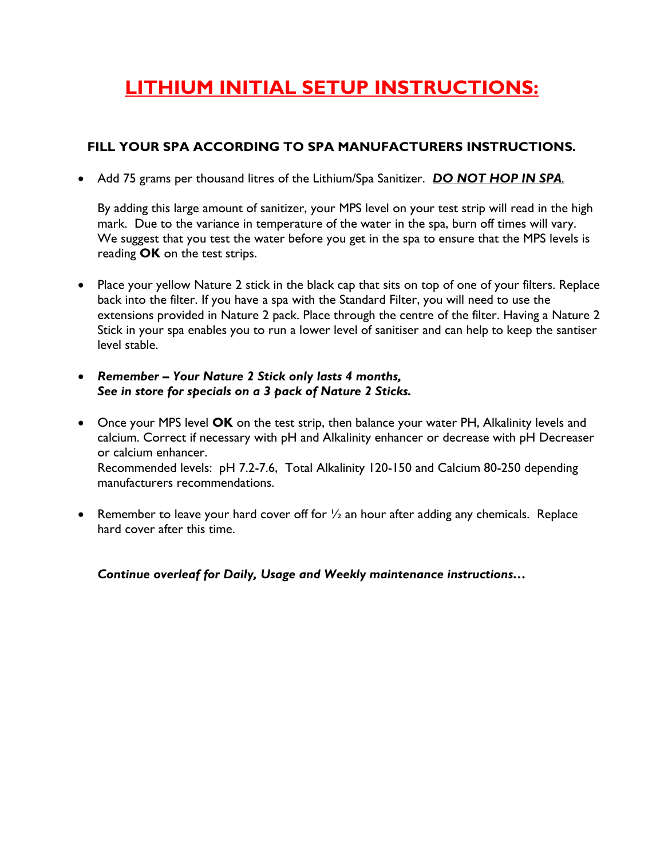# **LITHIUM INITIAL SETUP INSTRUCTIONS:**

# **FILL YOUR SPA ACCORDING TO SPA MANUFACTURERS INSTRUCTIONS.**

Add 75 grams per thousand litres of the Lithium/Spa Sanitizer. *DO NOT HOP IN SPA.*

By adding this large amount of sanitizer, your MPS level on your test strip will read in the high mark. Due to the variance in temperature of the water in the spa, burn off times will vary. We suggest that you test the water before you get in the spa to ensure that the MPS levels is reading **OK** on the test strips.

- Place your yellow Nature 2 stick in the black cap that sits on top of one of your filters. Replace back into the filter. If you have a spa with the Standard Filter, you will need to use the extensions provided in Nature 2 pack. Place through the centre of the filter. Having a Nature 2 Stick in your spa enables you to run a lower level of sanitiser and can help to keep the santiser level stable.
- *Remember – Your Nature 2 Stick only lasts 4 months, See in store for specials on a 3 pack of Nature 2 Sticks.*
- Once your MPS level **OK** on the test strip, then balance your water PH, Alkalinity levels and calcium. Correct if necessary with pH and Alkalinity enhancer or decrease with pH Decreaser or calcium enhancer. Recommended levels: pH 7.2-7.6, Total Alkalinity 120-150 and Calcium 80-250 depending manufacturers recommendations.
- **•** Remember to leave your hard cover off for  $\frac{1}{2}$  an hour after adding any chemicals. Replace hard cover after this time.

*Continue overleaf for Daily, Usage and Weekly maintenance instructions…*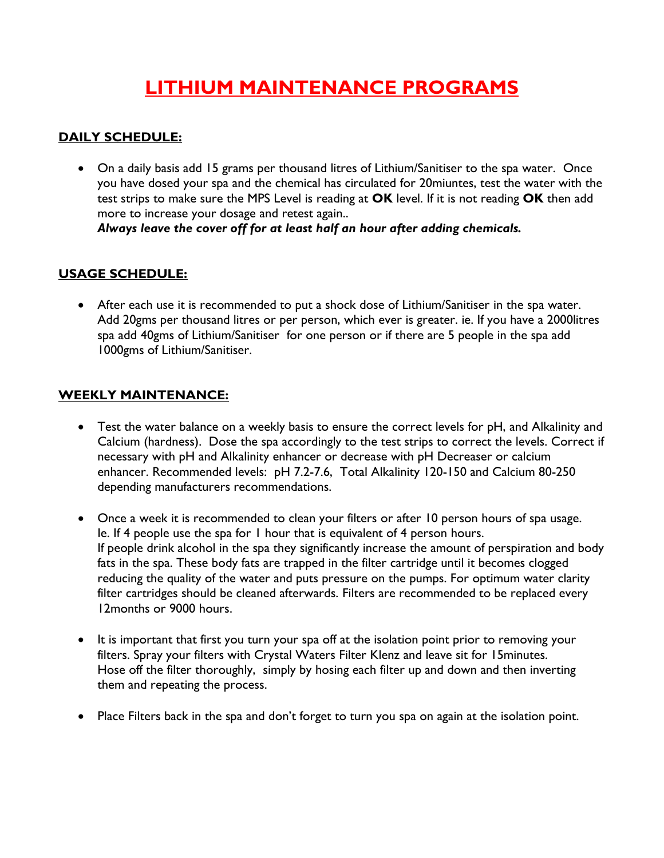# **LITHIUM MAINTENANCE PROGRAMS**

# **DAILY SCHEDULE:**

 On a daily basis add 15 grams per thousand litres of Lithium/Sanitiser to the spa water. Once you have dosed your spa and the chemical has circulated for 20miuntes, test the water with the test strips to make sure the MPS Level is reading at **OK** level. If it is not reading **OK** then add more to increase your dosage and retest again.. *Always leave the cover off for at least half an hour after adding chemicals.*

## **USAGE SCHEDULE:**

 After each use it is recommended to put a shock dose of Lithium/Sanitiser in the spa water. Add 20gms per thousand litres or per person, which ever is greater. ie. If you have a 2000litres spa add 40gms of Lithium/Sanitiser for one person or if there are 5 people in the spa add 1000gms of Lithium/Sanitiser.

### **WEEKLY MAINTENANCE:**

- Test the water balance on a weekly basis to ensure the correct levels for pH, and Alkalinity and Calcium (hardness). Dose the spa accordingly to the test strips to correct the levels. Correct if necessary with pH and Alkalinity enhancer or decrease with pH Decreaser or calcium enhancer. Recommended levels: pH 7.2-7.6, Total Alkalinity 120-150 and Calcium 80-250 depending manufacturers recommendations.
- Once a week it is recommended to clean your filters or after 10 person hours of spa usage. Ie. If 4 people use the spa for 1 hour that is equivalent of 4 person hours. If people drink alcohol in the spa they significantly increase the amount of perspiration and body fats in the spa. These body fats are trapped in the filter cartridge until it becomes clogged reducing the quality of the water and puts pressure on the pumps. For optimum water clarity filter cartridges should be cleaned afterwards. Filters are recommended to be replaced every 12months or 9000 hours.
- It is important that first you turn your spa off at the isolation point prior to removing your filters. Spray your filters with Crystal Waters Filter Klenz and leave sit for 15minutes. Hose off the filter thoroughly, simply by hosing each filter up and down and then inverting them and repeating the process.
- Place Filters back in the spa and don't forget to turn you spa on again at the isolation point.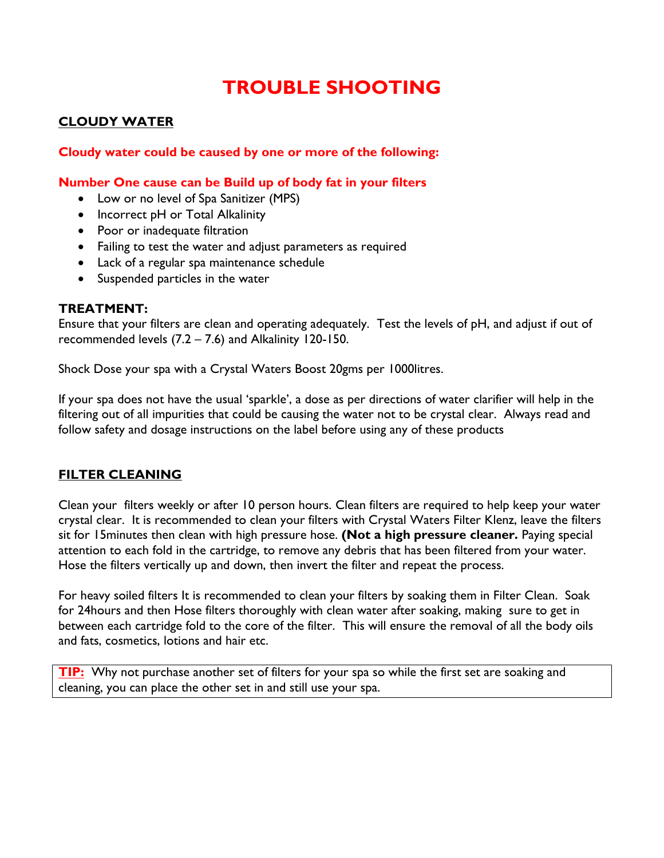# **TROUBLE SHOOTING**

### **CLOUDY WATER**

#### **Cloudy water could be caused by one or more of the following:**

#### **Number One cause can be Build up of body fat in your filters**

- Low or no level of Spa Sanitizer (MPS)
- Incorrect pH or Total Alkalinity
- Poor or inadequate filtration
- Failing to test the water and adjust parameters as required
- Lack of a regular spa maintenance schedule
- Suspended particles in the water

#### **TREATMENT:**

Ensure that your filters are clean and operating adequately. Test the levels of pH, and adjust if out of recommended levels (7.2 – 7.6) and Alkalinity 120-150.

Shock Dose your spa with a Crystal Waters Boost 20gms per 1000litres.

If your spa does not have the usual 'sparkle', a dose as per directions of water clarifier will help in the filtering out of all impurities that could be causing the water not to be crystal clear. Always read and follow safety and dosage instructions on the label before using any of these products

### **FILTER CLEANING**

Clean your filters weekly or after 10 person hours. Clean filters are required to help keep your water crystal clear. It is recommended to clean your filters with Crystal Waters Filter Klenz, leave the filters sit for 15minutes then clean with high pressure hose. **(Not a high pressure cleaner.** Paying special attention to each fold in the cartridge, to remove any debris that has been filtered from your water. Hose the filters vertically up and down, then invert the filter and repeat the process.

For heavy soiled filters It is recommended to clean your filters by soaking them in Filter Clean. Soak for 24hours and then Hose filters thoroughly with clean water after soaking, making sure to get in between each cartridge fold to the core of the filter. This will ensure the removal of all the body oils and fats, cosmetics, lotions and hair etc.

**TIP:** Why not purchase another set of filters for your spa so while the first set are soaking and cleaning, you can place the other set in and still use your spa.